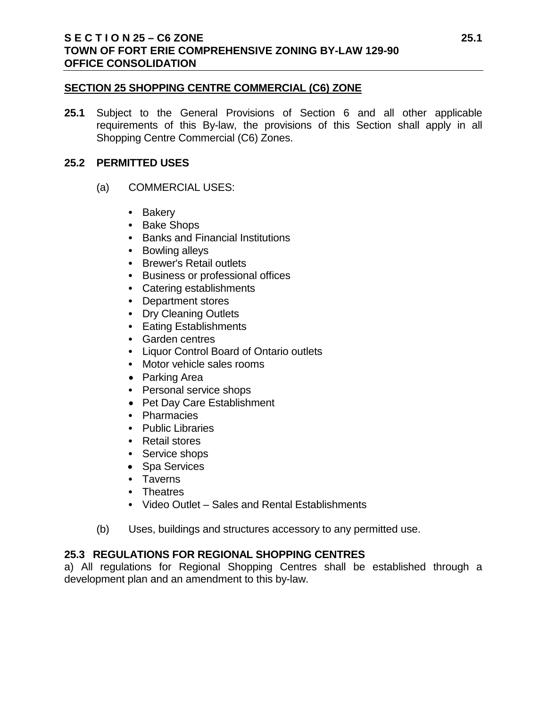### **SECTION 25 SHOPPING CENTRE COMMERCIAL (C6) ZONE**

**25.1** Subject to the General Provisions of Section 6 and all other applicable requirements of this By-law, the provisions of this Section shall apply in all Shopping Centre Commercial (C6) Zones.

## **25.2 PERMITTED USES**

- (a) COMMERCIAL USES:
	- **•** Bakery
	- **•** Bake Shops
	- **•** Banks and Financial Institutions
	- **•** Bowling alleys
	- **•** Brewer's Retail outlets
	- **•** Business or professional offices
	- **•** Catering establishments
	- **•** Department stores
	- **•** Dry Cleaning Outlets
	- **•** Eating Establishments
	- **•** Garden centres
	- **•** Liquor Control Board of Ontario outlets
	- **•** Motor vehicle sales rooms
	- Parking Area
	- **•** Personal service shops
	- Pet Day Care Establishment
	- **•** Pharmacies
	- **•** Public Libraries
	- **•** Retail stores
	- **•** Service shops
	- Spa Services
	- **•** Taverns
	- **•** Theatres
	- **•** Video Outlet Sales and Rental Establishments
- (b) Uses, buildings and structures accessory to any permitted use.

# **25.3 REGULATIONS FOR REGIONAL SHOPPING CENTRES**

a) All regulations for Regional Shopping Centres shall be established through a development plan and an amendment to this by-law.